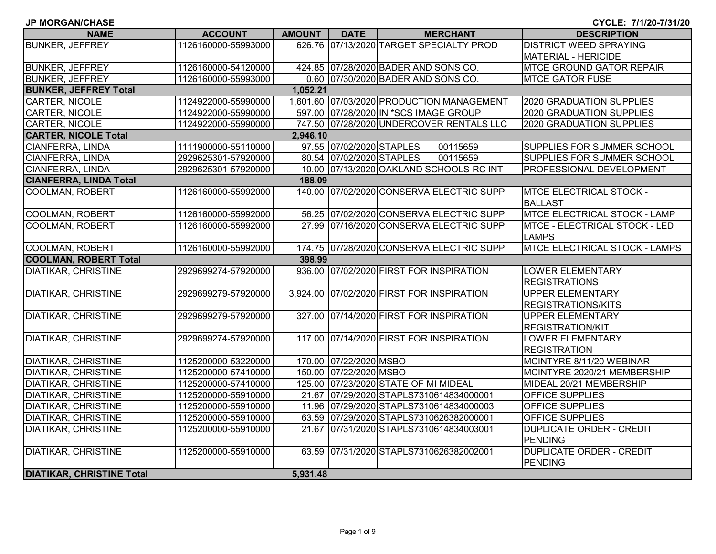| <b>JP MORGAN/CHASE</b>           |                     |               |                          |                                           | CYCLE: 7/1/20-7/31/20               |
|----------------------------------|---------------------|---------------|--------------------------|-------------------------------------------|-------------------------------------|
| <b>NAME</b>                      | <b>ACCOUNT</b>      | <b>AMOUNT</b> | <b>DATE</b>              | <b>MERCHANT</b>                           | <b>DESCRIPTION</b>                  |
| <b>BUNKER, JEFFREY</b>           | 1126160000-55993000 |               |                          | 626.76 07/13/2020 TARGET SPECIALTY PROD   | <b>DISTRICT WEED SPRAYING</b>       |
|                                  |                     |               |                          |                                           | <b>MATERIAL - HERICIDE</b>          |
| <b>BUNKER, JEFFREY</b>           | 1126160000-54120000 |               |                          | 424.85 07/28/2020 BADER AND SONS CO.      | <b>MTCE GROUND GATOR REPAIR</b>     |
| <b>BUNKER, JEFFREY</b>           | 1126160000-55993000 |               |                          | 0.60 07/30/2020 BADER AND SONS CO.        | <b>MTCE GATOR FUSE</b>              |
| <b>BUNKER, JEFFREY Total</b>     |                     | 1,052.21      |                          |                                           |                                     |
| CARTER, NICOLE                   | 1124922000-55990000 |               |                          | 1,601.60 07/03/2020 PRODUCTION MANAGEMENT | 2020 GRADUATION SUPPLIES            |
| CARTER, NICOLE                   | 1124922000-55990000 |               |                          | 597.00 07/28/2020 IN *SCS IMAGE GROUP     | 2020 GRADUATION SUPPLIES            |
| CARTER, NICOLE                   | 1124922000-55990000 |               |                          | 747.50 07/28/2020 UNDERCOVER RENTALS LLC  | 2020 GRADUATION SUPPLIES            |
| <b>CARTER, NICOLE Total</b>      |                     | 2,946.10      |                          |                                           |                                     |
| <b>CIANFERRA, LINDA</b>          | 1111900000-55110000 |               | 97.55 07/02/2020 STAPLES | 00115659                                  | <b>SUPPLIES FOR SUMMER SCHOOL</b>   |
| CIANFERRA, LINDA                 | 2929625301-57920000 |               | 80.54 07/02/2020 STAPLES | 00115659                                  | SUPPLIES FOR SUMMER SCHOOL          |
| CIANFERRA, LINDA                 | 2929625301-57920000 |               |                          | 10.00 07/13/2020 OAKLAND SCHOOLS-RC INT   | PROFESSIONAL DEVELOPMENT            |
| <b>CIANFERRA, LINDA Total</b>    |                     | 188.09        |                          |                                           |                                     |
| <b>COOLMAN, ROBERT</b>           | 1126160000-55992000 |               |                          | 140.00 07/02/2020 CONSERVA ELECTRIC SUPP  | <b>MTCE ELECTRICAL STOCK -</b>      |
|                                  |                     |               |                          |                                           | <b>BALLAST</b>                      |
| COOLMAN, ROBERT                  | 1126160000-55992000 |               |                          | 56.25 07/02/2020 CONSERVA ELECTRIC SUPP   | <b>MTCE ELECTRICAL STOCK - LAMP</b> |
| <b>COOLMAN, ROBERT</b>           | 1126160000-55992000 |               |                          | 27.99 07/16/2020 CONSERVA ELECTRIC SUPP   | MTCE - ELECTRICAL STOCK - LED       |
|                                  |                     |               |                          |                                           | <b>LAMPS</b>                        |
| <b>COOLMAN, ROBERT</b>           | 1126160000-55992000 |               |                          | 174.75 07/28/2020 CONSERVA ELECTRIC SUPP  | MTCE ELECTRICAL STOCK - LAMPS       |
| <b>COOLMAN, ROBERT Total</b>     |                     | 398.99        |                          |                                           |                                     |
| <b>DIATIKAR, CHRISTINE</b>       | 2929699274-57920000 |               |                          | 936.00 07/02/2020 FIRST FOR INSPIRATION   | <b>LOWER ELEMENTARY</b>             |
|                                  |                     |               |                          |                                           | <b>REGISTRATIONS</b>                |
| <b>DIATIKAR, CHRISTINE</b>       | 2929699279-57920000 |               |                          | 3,924.00 07/02/2020 FIRST FOR INSPIRATION | <b>UPPER ELEMENTARY</b>             |
|                                  |                     |               |                          |                                           | <b>REGISTRATIONS/KITS</b>           |
| <b>DIATIKAR, CHRISTINE</b>       | 2929699279-57920000 |               |                          | 327.00 07/14/2020 FIRST FOR INSPIRATION   | <b>UPPER ELEMENTARY</b>             |
|                                  |                     |               |                          |                                           | <b>REGISTRATION/KIT</b>             |
| <b>DIATIKAR, CHRISTINE</b>       | 2929699274-57920000 |               |                          | 117.00 07/14/2020 FIRST FOR INSPIRATION   | <b>LOWER ELEMENTARY</b>             |
|                                  |                     |               |                          |                                           | <b>REGISTRATION</b>                 |
| <b>DIATIKAR, CHRISTINE</b>       | 1125200000-53220000 |               | 170.00 07/22/2020 MSBO   |                                           | MCINTYRE 8/11/20 WEBINAR            |
| <b>DIATIKAR, CHRISTINE</b>       | 1125200000-57410000 |               | 150.00 07/22/2020 MSBO   |                                           | MCINTYRE 2020/21 MEMBERSHIP         |
| <b>DIATIKAR, CHRISTINE</b>       | 1125200000-57410000 |               |                          | 125.00 07/23/2020 STATE OF MI MIDEAL      | MIDEAL 20/21 MEMBERSHIP             |
| <b>DIATIKAR, CHRISTINE</b>       | 1125200000-55910000 |               |                          | 21.67 07/29/2020 STAPLS7310614834000001   | <b>OFFICE SUPPLIES</b>              |
| <b>DIATIKAR, CHRISTINE</b>       | 1125200000-55910000 |               |                          | 11.96 07/29/2020 STAPLS7310614834000003   | <b>OFFICE SUPPLIES</b>              |
| <b>DIATIKAR, CHRISTINE</b>       | 1125200000-55910000 |               |                          | 63.59 07/29/2020 STAPLS7310626382000001   | OFFICE SUPPLIES                     |
| <b>DIATIKAR, CHRISTINE</b>       | 1125200000-55910000 |               |                          | 21.67 07/31/2020 STAPLS7310614834003001   | <b>DUPLICATE ORDER - CREDIT</b>     |
|                                  |                     |               |                          |                                           | PENDING                             |
| <b>DIATIKAR, CHRISTINE</b>       | 1125200000-55910000 |               |                          | 63.59 07/31/2020 STAPLS7310626382002001   | <b>DUPLICATE ORDER - CREDIT</b>     |
|                                  |                     |               |                          |                                           | <b>PENDING</b>                      |
| <b>DIATIKAR, CHRISTINE Total</b> |                     | 5,931.48      |                          |                                           |                                     |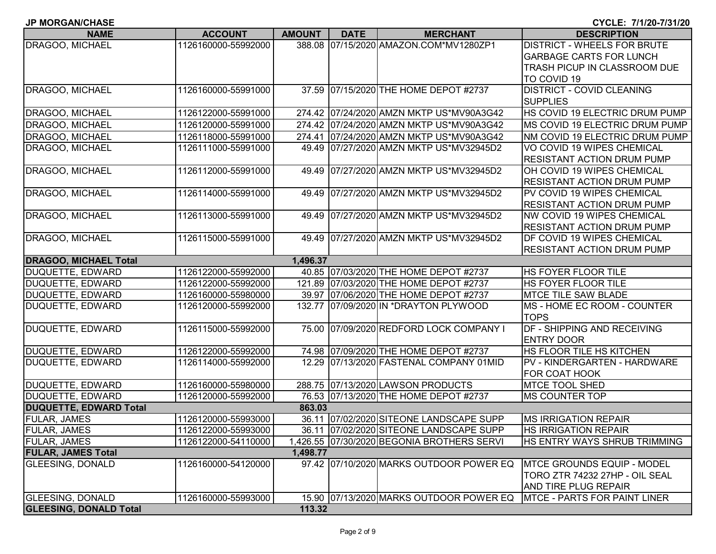|  |  |  |  |  |  | JP MORGAN/CHASE |
|--|--|--|--|--|--|-----------------|
|--|--|--|--|--|--|-----------------|

**CYCLE: 7/1/20-7/31/20**

| 388.08 07/15/2020 AMAZON.COM*MV1280ZP1<br><b>DISTRICT - WHEELS FOR BRUTE</b><br>1126160000-55992000<br><b>GARBAGE CARTS FOR LUNCH</b><br>TRASH PICUP IN CLASSROOM DUE<br>TO COVID 19<br>DRAGOO, MICHAEL<br><b>DISTRICT - COVID CLEANING</b><br>1126160000-55991000<br>37.59 07/15/2020 THE HOME DEPOT #2737<br><b>SUPPLIES</b><br>DRAGOO, MICHAEL<br>HS COVID 19 ELECTRIC DRUM PUMP<br>1126122000-55991000<br>274.42 07/24/2020 AMZN MKTP US*MV90A3G42<br>DRAGOO, MICHAEL<br>1126120000-55991000<br>274.42 07/24/2020 AMZN MKTP US*MV90A3G42<br>MS COVID 19 ELECTRIC DRUM PUMP<br>1126118000-55991000<br>274.41 07/24/2020 AMZN MKTP US*MV90A3G42<br>NM COVID 19 ELECTRIC DRUM PUMP<br>49.49 07/27/2020 AMZN MKTP US*MV32945D2<br>1126111000-55991000<br>VO COVID 19 WIPES CHEMICAL<br><b>RESISTANT ACTION DRUM PUMP</b><br>DRAGOO, MICHAEL<br>49.49 07/27/2020 AMZN MKTP US*MV32945D2<br>1126112000-55991000<br>OH COVID 19 WIPES CHEMICAL<br><b>RESISTANT ACTION DRUM PUMP</b><br>DRAGOO, MICHAEL<br>49.49 07/27/2020 AMZN MKTP US*MV32945D2<br>1126114000-55991000<br>PV COVID 19 WIPES CHEMICAL<br><b>RESISTANT ACTION DRUM PUMP</b><br>DRAGOO, MICHAEL<br>49.49 07/27/2020 AMZN MKTP US*MV32945D2<br>1126113000-55991000<br>NW COVID 19 WIPES CHEMICAL<br><b>RESISTANT ACTION DRUM PUMP</b><br>DRAGOO, MICHAEL<br>1126115000-55991000<br>49.49 07/27/2020 AMZN MKTP US*MV32945D2<br>DF COVID 19 WIPES CHEMICAL<br><b>RESISTANT ACTION DRUM PUMP</b><br><b>DRAGOO, MICHAEL Total</b><br>1,496.37<br>40.85 07/03/2020 THE HOME DEPOT #2737<br>DUQUETTE, EDWARD<br>1126122000-55992000<br><b>HS FOYER FLOOR TILE</b><br>121.89 07/03/2020 THE HOME DEPOT #2737<br>DUQUETTE, EDWARD<br>1126122000-55992000<br>HS FOYER FLOOR TILE<br>39.97 07/06/2020 THE HOME DEPOT #2737<br>DUQUETTE, EDWARD<br>1126160000-55980000<br><b>MTCE TILE SAW BLADE</b><br>MS - HOME EC ROOM - COUNTER<br>DUQUETTE, EDWARD<br>1126120000-55992000<br>132.77 07/09/2020 IN *DRAYTON PLYWOOD<br><b>TOPS</b><br>75.00 07/09/2020 REDFORD LOCK COMPANY I<br>DF - SHIPPING AND RECEIVING<br>DUQUETTE, EDWARD<br>1126115000-55992000<br><b>ENTRY DOOR</b><br>DUQUETTE, EDWARD<br>74.98 07/09/2020 THE HOME DEPOT #2737<br>HS FLOOR TILE HS KITCHEN<br>1126122000-55992000<br>12.29 07/13/2020 FASTENAL COMPANY 01MID<br>PV - KINDERGARTEN - HARDWARE<br>DUQUETTE, EDWARD<br>1126114000-55992000<br>FOR COAT HOOK<br>288.75 07/13/2020 LAWSON PRODUCTS<br>DUQUETTE, EDWARD<br>1126160000-55980000<br>MTCE TOOL SHED<br>76.53 07/13/2020 THE HOME DEPOT #2737<br><b>DUQUETTE, EDWARD</b><br>1126120000-55992000<br><b>MS COUNTER TOP</b><br><b>DUQUETTE, EDWARD Total</b><br>863.03<br>36.11 07/02/2020 SITEONE LANDSCAPE SUPP<br>FULAR, JAMES<br>1126120000-55993000<br><b>MS IRRIGATION REPAIR</b><br>36.11 07/02/2020 SITEONE LANDSCAPE SUPP<br><b>FULAR, JAMES</b><br>1126122000-55993000<br><b>HS IRRIGATION REPAIR</b><br>1,426.55 07/30/2020 BEGONIA BROTHERS SERVI<br><b>FULAR, JAMES</b><br>1126122000-54110000<br>HS ENTRY WAYS SHRUB TRIMMING | <b>NAME</b>                                              | <b>ACCOUNT</b> | <b>AMOUNT</b> | <b>DATE</b> | <b>MERCHANT</b> | <b>DESCRIPTION</b> |
|-------------------------------------------------------------------------------------------------------------------------------------------------------------------------------------------------------------------------------------------------------------------------------------------------------------------------------------------------------------------------------------------------------------------------------------------------------------------------------------------------------------------------------------------------------------------------------------------------------------------------------------------------------------------------------------------------------------------------------------------------------------------------------------------------------------------------------------------------------------------------------------------------------------------------------------------------------------------------------------------------------------------------------------------------------------------------------------------------------------------------------------------------------------------------------------------------------------------------------------------------------------------------------------------------------------------------------------------------------------------------------------------------------------------------------------------------------------------------------------------------------------------------------------------------------------------------------------------------------------------------------------------------------------------------------------------------------------------------------------------------------------------------------------------------------------------------------------------------------------------------------------------------------------------------------------------------------------------------------------------------------------------------------------------------------------------------------------------------------------------------------------------------------------------------------------------------------------------------------------------------------------------------------------------------------------------------------------------------------------------------------------------------------------------------------------------------------------------------------------------------------------------------------------------------------------------------------------------------------------------------------------------------------------------------------------------------------------------------------------------------------------------------------------------------------------------------------------------------------------------------------------------------------------------------------------------------------------------------------------------------------------------------------|----------------------------------------------------------|----------------|---------------|-------------|-----------------|--------------------|
|                                                                                                                                                                                                                                                                                                                                                                                                                                                                                                                                                                                                                                                                                                                                                                                                                                                                                                                                                                                                                                                                                                                                                                                                                                                                                                                                                                                                                                                                                                                                                                                                                                                                                                                                                                                                                                                                                                                                                                                                                                                                                                                                                                                                                                                                                                                                                                                                                                                                                                                                                                                                                                                                                                                                                                                                                                                                                                                                                                                                                               | DRAGOO, MICHAEL                                          |                |               |             |                 |                    |
|                                                                                                                                                                                                                                                                                                                                                                                                                                                                                                                                                                                                                                                                                                                                                                                                                                                                                                                                                                                                                                                                                                                                                                                                                                                                                                                                                                                                                                                                                                                                                                                                                                                                                                                                                                                                                                                                                                                                                                                                                                                                                                                                                                                                                                                                                                                                                                                                                                                                                                                                                                                                                                                                                                                                                                                                                                                                                                                                                                                                                               |                                                          |                |               |             |                 |                    |
|                                                                                                                                                                                                                                                                                                                                                                                                                                                                                                                                                                                                                                                                                                                                                                                                                                                                                                                                                                                                                                                                                                                                                                                                                                                                                                                                                                                                                                                                                                                                                                                                                                                                                                                                                                                                                                                                                                                                                                                                                                                                                                                                                                                                                                                                                                                                                                                                                                                                                                                                                                                                                                                                                                                                                                                                                                                                                                                                                                                                                               |                                                          |                |               |             |                 |                    |
|                                                                                                                                                                                                                                                                                                                                                                                                                                                                                                                                                                                                                                                                                                                                                                                                                                                                                                                                                                                                                                                                                                                                                                                                                                                                                                                                                                                                                                                                                                                                                                                                                                                                                                                                                                                                                                                                                                                                                                                                                                                                                                                                                                                                                                                                                                                                                                                                                                                                                                                                                                                                                                                                                                                                                                                                                                                                                                                                                                                                                               |                                                          |                |               |             |                 |                    |
|                                                                                                                                                                                                                                                                                                                                                                                                                                                                                                                                                                                                                                                                                                                                                                                                                                                                                                                                                                                                                                                                                                                                                                                                                                                                                                                                                                                                                                                                                                                                                                                                                                                                                                                                                                                                                                                                                                                                                                                                                                                                                                                                                                                                                                                                                                                                                                                                                                                                                                                                                                                                                                                                                                                                                                                                                                                                                                                                                                                                                               |                                                          |                |               |             |                 |                    |
|                                                                                                                                                                                                                                                                                                                                                                                                                                                                                                                                                                                                                                                                                                                                                                                                                                                                                                                                                                                                                                                                                                                                                                                                                                                                                                                                                                                                                                                                                                                                                                                                                                                                                                                                                                                                                                                                                                                                                                                                                                                                                                                                                                                                                                                                                                                                                                                                                                                                                                                                                                                                                                                                                                                                                                                                                                                                                                                                                                                                                               |                                                          |                |               |             |                 |                    |
|                                                                                                                                                                                                                                                                                                                                                                                                                                                                                                                                                                                                                                                                                                                                                                                                                                                                                                                                                                                                                                                                                                                                                                                                                                                                                                                                                                                                                                                                                                                                                                                                                                                                                                                                                                                                                                                                                                                                                                                                                                                                                                                                                                                                                                                                                                                                                                                                                                                                                                                                                                                                                                                                                                                                                                                                                                                                                                                                                                                                                               |                                                          |                |               |             |                 |                    |
|                                                                                                                                                                                                                                                                                                                                                                                                                                                                                                                                                                                                                                                                                                                                                                                                                                                                                                                                                                                                                                                                                                                                                                                                                                                                                                                                                                                                                                                                                                                                                                                                                                                                                                                                                                                                                                                                                                                                                                                                                                                                                                                                                                                                                                                                                                                                                                                                                                                                                                                                                                                                                                                                                                                                                                                                                                                                                                                                                                                                                               |                                                          |                |               |             |                 |                    |
|                                                                                                                                                                                                                                                                                                                                                                                                                                                                                                                                                                                                                                                                                                                                                                                                                                                                                                                                                                                                                                                                                                                                                                                                                                                                                                                                                                                                                                                                                                                                                                                                                                                                                                                                                                                                                                                                                                                                                                                                                                                                                                                                                                                                                                                                                                                                                                                                                                                                                                                                                                                                                                                                                                                                                                                                                                                                                                                                                                                                                               | DRAGOO, MICHAEL                                          |                |               |             |                 |                    |
|                                                                                                                                                                                                                                                                                                                                                                                                                                                                                                                                                                                                                                                                                                                                                                                                                                                                                                                                                                                                                                                                                                                                                                                                                                                                                                                                                                                                                                                                                                                                                                                                                                                                                                                                                                                                                                                                                                                                                                                                                                                                                                                                                                                                                                                                                                                                                                                                                                                                                                                                                                                                                                                                                                                                                                                                                                                                                                                                                                                                                               | DRAGOO, MICHAEL                                          |                |               |             |                 |                    |
|                                                                                                                                                                                                                                                                                                                                                                                                                                                                                                                                                                                                                                                                                                                                                                                                                                                                                                                                                                                                                                                                                                                                                                                                                                                                                                                                                                                                                                                                                                                                                                                                                                                                                                                                                                                                                                                                                                                                                                                                                                                                                                                                                                                                                                                                                                                                                                                                                                                                                                                                                                                                                                                                                                                                                                                                                                                                                                                                                                                                                               |                                                          |                |               |             |                 |                    |
|                                                                                                                                                                                                                                                                                                                                                                                                                                                                                                                                                                                                                                                                                                                                                                                                                                                                                                                                                                                                                                                                                                                                                                                                                                                                                                                                                                                                                                                                                                                                                                                                                                                                                                                                                                                                                                                                                                                                                                                                                                                                                                                                                                                                                                                                                                                                                                                                                                                                                                                                                                                                                                                                                                                                                                                                                                                                                                                                                                                                                               |                                                          |                |               |             |                 |                    |
|                                                                                                                                                                                                                                                                                                                                                                                                                                                                                                                                                                                                                                                                                                                                                                                                                                                                                                                                                                                                                                                                                                                                                                                                                                                                                                                                                                                                                                                                                                                                                                                                                                                                                                                                                                                                                                                                                                                                                                                                                                                                                                                                                                                                                                                                                                                                                                                                                                                                                                                                                                                                                                                                                                                                                                                                                                                                                                                                                                                                                               |                                                          |                |               |             |                 |                    |
|                                                                                                                                                                                                                                                                                                                                                                                                                                                                                                                                                                                                                                                                                                                                                                                                                                                                                                                                                                                                                                                                                                                                                                                                                                                                                                                                                                                                                                                                                                                                                                                                                                                                                                                                                                                                                                                                                                                                                                                                                                                                                                                                                                                                                                                                                                                                                                                                                                                                                                                                                                                                                                                                                                                                                                                                                                                                                                                                                                                                                               |                                                          |                |               |             |                 |                    |
|                                                                                                                                                                                                                                                                                                                                                                                                                                                                                                                                                                                                                                                                                                                                                                                                                                                                                                                                                                                                                                                                                                                                                                                                                                                                                                                                                                                                                                                                                                                                                                                                                                                                                                                                                                                                                                                                                                                                                                                                                                                                                                                                                                                                                                                                                                                                                                                                                                                                                                                                                                                                                                                                                                                                                                                                                                                                                                                                                                                                                               |                                                          |                |               |             |                 |                    |
|                                                                                                                                                                                                                                                                                                                                                                                                                                                                                                                                                                                                                                                                                                                                                                                                                                                                                                                                                                                                                                                                                                                                                                                                                                                                                                                                                                                                                                                                                                                                                                                                                                                                                                                                                                                                                                                                                                                                                                                                                                                                                                                                                                                                                                                                                                                                                                                                                                                                                                                                                                                                                                                                                                                                                                                                                                                                                                                                                                                                                               |                                                          |                |               |             |                 |                    |
|                                                                                                                                                                                                                                                                                                                                                                                                                                                                                                                                                                                                                                                                                                                                                                                                                                                                                                                                                                                                                                                                                                                                                                                                                                                                                                                                                                                                                                                                                                                                                                                                                                                                                                                                                                                                                                                                                                                                                                                                                                                                                                                                                                                                                                                                                                                                                                                                                                                                                                                                                                                                                                                                                                                                                                                                                                                                                                                                                                                                                               |                                                          |                |               |             |                 |                    |
|                                                                                                                                                                                                                                                                                                                                                                                                                                                                                                                                                                                                                                                                                                                                                                                                                                                                                                                                                                                                                                                                                                                                                                                                                                                                                                                                                                                                                                                                                                                                                                                                                                                                                                                                                                                                                                                                                                                                                                                                                                                                                                                                                                                                                                                                                                                                                                                                                                                                                                                                                                                                                                                                                                                                                                                                                                                                                                                                                                                                                               |                                                          |                |               |             |                 |                    |
|                                                                                                                                                                                                                                                                                                                                                                                                                                                                                                                                                                                                                                                                                                                                                                                                                                                                                                                                                                                                                                                                                                                                                                                                                                                                                                                                                                                                                                                                                                                                                                                                                                                                                                                                                                                                                                                                                                                                                                                                                                                                                                                                                                                                                                                                                                                                                                                                                                                                                                                                                                                                                                                                                                                                                                                                                                                                                                                                                                                                                               |                                                          |                |               |             |                 |                    |
|                                                                                                                                                                                                                                                                                                                                                                                                                                                                                                                                                                                                                                                                                                                                                                                                                                                                                                                                                                                                                                                                                                                                                                                                                                                                                                                                                                                                                                                                                                                                                                                                                                                                                                                                                                                                                                                                                                                                                                                                                                                                                                                                                                                                                                                                                                                                                                                                                                                                                                                                                                                                                                                                                                                                                                                                                                                                                                                                                                                                                               |                                                          |                |               |             |                 |                    |
|                                                                                                                                                                                                                                                                                                                                                                                                                                                                                                                                                                                                                                                                                                                                                                                                                                                                                                                                                                                                                                                                                                                                                                                                                                                                                                                                                                                                                                                                                                                                                                                                                                                                                                                                                                                                                                                                                                                                                                                                                                                                                                                                                                                                                                                                                                                                                                                                                                                                                                                                                                                                                                                                                                                                                                                                                                                                                                                                                                                                                               |                                                          |                |               |             |                 |                    |
|                                                                                                                                                                                                                                                                                                                                                                                                                                                                                                                                                                                                                                                                                                                                                                                                                                                                                                                                                                                                                                                                                                                                                                                                                                                                                                                                                                                                                                                                                                                                                                                                                                                                                                                                                                                                                                                                                                                                                                                                                                                                                                                                                                                                                                                                                                                                                                                                                                                                                                                                                                                                                                                                                                                                                                                                                                                                                                                                                                                                                               |                                                          |                |               |             |                 |                    |
|                                                                                                                                                                                                                                                                                                                                                                                                                                                                                                                                                                                                                                                                                                                                                                                                                                                                                                                                                                                                                                                                                                                                                                                                                                                                                                                                                                                                                                                                                                                                                                                                                                                                                                                                                                                                                                                                                                                                                                                                                                                                                                                                                                                                                                                                                                                                                                                                                                                                                                                                                                                                                                                                                                                                                                                                                                                                                                                                                                                                                               |                                                          |                |               |             |                 |                    |
|                                                                                                                                                                                                                                                                                                                                                                                                                                                                                                                                                                                                                                                                                                                                                                                                                                                                                                                                                                                                                                                                                                                                                                                                                                                                                                                                                                                                                                                                                                                                                                                                                                                                                                                                                                                                                                                                                                                                                                                                                                                                                                                                                                                                                                                                                                                                                                                                                                                                                                                                                                                                                                                                                                                                                                                                                                                                                                                                                                                                                               |                                                          |                |               |             |                 |                    |
|                                                                                                                                                                                                                                                                                                                                                                                                                                                                                                                                                                                                                                                                                                                                                                                                                                                                                                                                                                                                                                                                                                                                                                                                                                                                                                                                                                                                                                                                                                                                                                                                                                                                                                                                                                                                                                                                                                                                                                                                                                                                                                                                                                                                                                                                                                                                                                                                                                                                                                                                                                                                                                                                                                                                                                                                                                                                                                                                                                                                                               |                                                          |                |               |             |                 |                    |
|                                                                                                                                                                                                                                                                                                                                                                                                                                                                                                                                                                                                                                                                                                                                                                                                                                                                                                                                                                                                                                                                                                                                                                                                                                                                                                                                                                                                                                                                                                                                                                                                                                                                                                                                                                                                                                                                                                                                                                                                                                                                                                                                                                                                                                                                                                                                                                                                                                                                                                                                                                                                                                                                                                                                                                                                                                                                                                                                                                                                                               |                                                          |                |               |             |                 |                    |
|                                                                                                                                                                                                                                                                                                                                                                                                                                                                                                                                                                                                                                                                                                                                                                                                                                                                                                                                                                                                                                                                                                                                                                                                                                                                                                                                                                                                                                                                                                                                                                                                                                                                                                                                                                                                                                                                                                                                                                                                                                                                                                                                                                                                                                                                                                                                                                                                                                                                                                                                                                                                                                                                                                                                                                                                                                                                                                                                                                                                                               |                                                          |                |               |             |                 |                    |
|                                                                                                                                                                                                                                                                                                                                                                                                                                                                                                                                                                                                                                                                                                                                                                                                                                                                                                                                                                                                                                                                                                                                                                                                                                                                                                                                                                                                                                                                                                                                                                                                                                                                                                                                                                                                                                                                                                                                                                                                                                                                                                                                                                                                                                                                                                                                                                                                                                                                                                                                                                                                                                                                                                                                                                                                                                                                                                                                                                                                                               |                                                          |                |               |             |                 |                    |
|                                                                                                                                                                                                                                                                                                                                                                                                                                                                                                                                                                                                                                                                                                                                                                                                                                                                                                                                                                                                                                                                                                                                                                                                                                                                                                                                                                                                                                                                                                                                                                                                                                                                                                                                                                                                                                                                                                                                                                                                                                                                                                                                                                                                                                                                                                                                                                                                                                                                                                                                                                                                                                                                                                                                                                                                                                                                                                                                                                                                                               |                                                          |                |               |             |                 |                    |
|                                                                                                                                                                                                                                                                                                                                                                                                                                                                                                                                                                                                                                                                                                                                                                                                                                                                                                                                                                                                                                                                                                                                                                                                                                                                                                                                                                                                                                                                                                                                                                                                                                                                                                                                                                                                                                                                                                                                                                                                                                                                                                                                                                                                                                                                                                                                                                                                                                                                                                                                                                                                                                                                                                                                                                                                                                                                                                                                                                                                                               |                                                          |                |               |             |                 |                    |
|                                                                                                                                                                                                                                                                                                                                                                                                                                                                                                                                                                                                                                                                                                                                                                                                                                                                                                                                                                                                                                                                                                                                                                                                                                                                                                                                                                                                                                                                                                                                                                                                                                                                                                                                                                                                                                                                                                                                                                                                                                                                                                                                                                                                                                                                                                                                                                                                                                                                                                                                                                                                                                                                                                                                                                                                                                                                                                                                                                                                                               |                                                          |                |               |             |                 |                    |
|                                                                                                                                                                                                                                                                                                                                                                                                                                                                                                                                                                                                                                                                                                                                                                                                                                                                                                                                                                                                                                                                                                                                                                                                                                                                                                                                                                                                                                                                                                                                                                                                                                                                                                                                                                                                                                                                                                                                                                                                                                                                                                                                                                                                                                                                                                                                                                                                                                                                                                                                                                                                                                                                                                                                                                                                                                                                                                                                                                                                                               |                                                          |                |               |             |                 |                    |
|                                                                                                                                                                                                                                                                                                                                                                                                                                                                                                                                                                                                                                                                                                                                                                                                                                                                                                                                                                                                                                                                                                                                                                                                                                                                                                                                                                                                                                                                                                                                                                                                                                                                                                                                                                                                                                                                                                                                                                                                                                                                                                                                                                                                                                                                                                                                                                                                                                                                                                                                                                                                                                                                                                                                                                                                                                                                                                                                                                                                                               |                                                          |                |               |             |                 |                    |
|                                                                                                                                                                                                                                                                                                                                                                                                                                                                                                                                                                                                                                                                                                                                                                                                                                                                                                                                                                                                                                                                                                                                                                                                                                                                                                                                                                                                                                                                                                                                                                                                                                                                                                                                                                                                                                                                                                                                                                                                                                                                                                                                                                                                                                                                                                                                                                                                                                                                                                                                                                                                                                                                                                                                                                                                                                                                                                                                                                                                                               |                                                          |                |               |             |                 |                    |
|                                                                                                                                                                                                                                                                                                                                                                                                                                                                                                                                                                                                                                                                                                                                                                                                                                                                                                                                                                                                                                                                                                                                                                                                                                                                                                                                                                                                                                                                                                                                                                                                                                                                                                                                                                                                                                                                                                                                                                                                                                                                                                                                                                                                                                                                                                                                                                                                                                                                                                                                                                                                                                                                                                                                                                                                                                                                                                                                                                                                                               |                                                          |                |               |             |                 |                    |
|                                                                                                                                                                                                                                                                                                                                                                                                                                                                                                                                                                                                                                                                                                                                                                                                                                                                                                                                                                                                                                                                                                                                                                                                                                                                                                                                                                                                                                                                                                                                                                                                                                                                                                                                                                                                                                                                                                                                                                                                                                                                                                                                                                                                                                                                                                                                                                                                                                                                                                                                                                                                                                                                                                                                                                                                                                                                                                                                                                                                                               |                                                          |                |               |             |                 |                    |
|                                                                                                                                                                                                                                                                                                                                                                                                                                                                                                                                                                                                                                                                                                                                                                                                                                                                                                                                                                                                                                                                                                                                                                                                                                                                                                                                                                                                                                                                                                                                                                                                                                                                                                                                                                                                                                                                                                                                                                                                                                                                                                                                                                                                                                                                                                                                                                                                                                                                                                                                                                                                                                                                                                                                                                                                                                                                                                                                                                                                                               | <b>FULAR, JAMES Total</b>                                |                | 1,498.77      |             |                 |                    |
| 1126160000-54120000<br>97.42 07/10/2020 MARKS OUTDOOR POWER EQ<br><b>MTCE GROUNDS EQUIP - MODEL</b>                                                                                                                                                                                                                                                                                                                                                                                                                                                                                                                                                                                                                                                                                                                                                                                                                                                                                                                                                                                                                                                                                                                                                                                                                                                                                                                                                                                                                                                                                                                                                                                                                                                                                                                                                                                                                                                                                                                                                                                                                                                                                                                                                                                                                                                                                                                                                                                                                                                                                                                                                                                                                                                                                                                                                                                                                                                                                                                           | <b>GLEESING, DONALD</b>                                  |                |               |             |                 |                    |
| TORO ZTR 74232 27HP - OIL SEAL                                                                                                                                                                                                                                                                                                                                                                                                                                                                                                                                                                                                                                                                                                                                                                                                                                                                                                                                                                                                                                                                                                                                                                                                                                                                                                                                                                                                                                                                                                                                                                                                                                                                                                                                                                                                                                                                                                                                                                                                                                                                                                                                                                                                                                                                                                                                                                                                                                                                                                                                                                                                                                                                                                                                                                                                                                                                                                                                                                                                |                                                          |                |               |             |                 |                    |
| AND TIRE PLUG REPAIR<br>1126160000-55993000                                                                                                                                                                                                                                                                                                                                                                                                                                                                                                                                                                                                                                                                                                                                                                                                                                                                                                                                                                                                                                                                                                                                                                                                                                                                                                                                                                                                                                                                                                                                                                                                                                                                                                                                                                                                                                                                                                                                                                                                                                                                                                                                                                                                                                                                                                                                                                                                                                                                                                                                                                                                                                                                                                                                                                                                                                                                                                                                                                                   |                                                          |                |               |             |                 |                    |
| 15.90 07/13/2020 MARKS OUTDOOR POWER EQ<br><b>MTCE - PARTS FOR PAINT LINER</b><br>113.32                                                                                                                                                                                                                                                                                                                                                                                                                                                                                                                                                                                                                                                                                                                                                                                                                                                                                                                                                                                                                                                                                                                                                                                                                                                                                                                                                                                                                                                                                                                                                                                                                                                                                                                                                                                                                                                                                                                                                                                                                                                                                                                                                                                                                                                                                                                                                                                                                                                                                                                                                                                                                                                                                                                                                                                                                                                                                                                                      | <b>GLEESING, DONALD</b><br><b>GLEESING, DONALD Total</b> |                |               |             |                 |                    |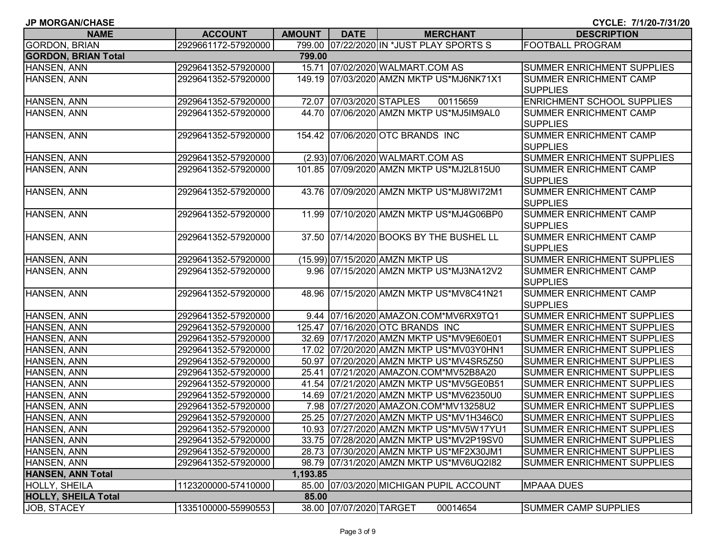| <b>JP MORGAN/CHASE</b>     |                     |               |                          |                                          | CYCLE: 7/1/20-7/31/20             |
|----------------------------|---------------------|---------------|--------------------------|------------------------------------------|-----------------------------------|
| <b>NAME</b>                | <b>ACCOUNT</b>      | <b>AMOUNT</b> | <b>DATE</b>              | <b>MERCHANT</b>                          | <b>DESCRIPTION</b>                |
| <b>GORDON, BRIAN</b>       | 2929661172-57920000 |               |                          | 799.00 07/22/2020 IN *JUST PLAY SPORTS S | <b>FOOTBALL PROGRAM</b>           |
| <b>GORDON, BRIAN Total</b> |                     | 799.00        |                          |                                          |                                   |
| HANSEN, ANN                | 2929641352-57920000 |               |                          | 15.71 07/02/2020 WALMART.COM AS          | <b>SUMMER ENRICHMENT SUPPLIES</b> |
| HANSEN, ANN                | 2929641352-57920000 |               |                          | 149.19 07/03/2020 AMZN MKTP US*MJ6NK71X1 | <b>SUMMER ENRICHMENT CAMP</b>     |
|                            |                     |               |                          |                                          | <b>SUPPLIES</b>                   |
| HANSEN, ANN                | 2929641352-57920000 |               | 72.07 07/03/2020 STAPLES | 00115659                                 | <b>ENRICHMENT SCHOOL SUPPLIES</b> |
| HANSEN, ANN                | 2929641352-57920000 |               |                          | 44.70 07/06/2020 AMZN MKTP US*MJ5IM9AL0  | <b>SUMMER ENRICHMENT CAMP</b>     |
|                            |                     |               |                          |                                          | <b>SUPPLIES</b>                   |
| HANSEN, ANN                | 2929641352-57920000 |               |                          | 154.42 07/06/2020 OTC BRANDS INC         | <b>SUMMER ENRICHMENT CAMP</b>     |
|                            |                     |               |                          |                                          | <b>SUPPLIES</b>                   |
| HANSEN, ANN                | 2929641352-57920000 |               |                          | (2.93) 07/06/2020 WALMART.COM AS         | <b>SUMMER ENRICHMENT SUPPLIES</b> |
| HANSEN, ANN                | 2929641352-57920000 |               |                          | 101.85 07/09/2020 AMZN MKTP US*MJ2L815U0 | <b>SUMMER ENRICHMENT CAMP</b>     |
|                            |                     |               |                          |                                          | <b>SUPPLIES</b>                   |
| HANSEN, ANN                | 2929641352-57920000 |               |                          | 43.76 07/09/2020 AMZN MKTP US*MJ8WI72M1  | <b>SUMMER ENRICHMENT CAMP</b>     |
|                            |                     |               |                          |                                          | <b>SUPPLIES</b>                   |
| HANSEN, ANN                | 2929641352-57920000 |               |                          | 11.99 07/10/2020 AMZN MKTP US*MJ4G06BP0  | <b>SUMMER ENRICHMENT CAMP</b>     |
|                            |                     |               |                          |                                          | <b>SUPPLIES</b>                   |
| HANSEN, ANN                | 2929641352-57920000 |               |                          | 37.50 07/14/2020 BOOKS BY THE BUSHEL LL  | <b>SUMMER ENRICHMENT CAMP</b>     |
|                            |                     |               |                          |                                          | <b>SUPPLIES</b>                   |
| HANSEN, ANN                | 2929641352-57920000 |               |                          | (15.99) 07/15/2020 AMZN MKTP US          | <b>SUMMER ENRICHMENT SUPPLIES</b> |
| HANSEN, ANN                | 2929641352-57920000 |               |                          | 9.96 07/15/2020 AMZN MKTP US*MJ3NA12V2   | <b>SUMMER ENRICHMENT CAMP</b>     |
|                            |                     |               |                          |                                          | <b>SUPPLIES</b>                   |
| HANSEN, ANN                | 2929641352-57920000 |               |                          | 48.96 07/15/2020 AMZN MKTP US*MV8C41N21  | <b>SUMMER ENRICHMENT CAMP</b>     |
|                            |                     |               |                          |                                          | <b>SUPPLIES</b>                   |
| HANSEN, ANN                | 2929641352-57920000 |               |                          | 9.44 07/16/2020 AMAZON.COM*MV6RX9TQ1     | <b>SUMMER ENRICHMENT SUPPLIES</b> |
| HANSEN, ANN                | 2929641352-57920000 |               |                          | 125.47 07/16/2020 OTC BRANDS INC         | <b>SUMMER ENRICHMENT SUPPLIES</b> |
| HANSEN, ANN                | 2929641352-57920000 |               |                          | 32.69 07/17/2020 AMZN MKTP US*MV9E60E01  | <b>SUMMER ENRICHMENT SUPPLIES</b> |
| HANSEN, ANN                | 2929641352-57920000 |               |                          | 17.02 07/20/2020 AMZN MKTP US*MV03Y0HN1  | <b>SUMMER ENRICHMENT SUPPLIES</b> |
| HANSEN, ANN                | 2929641352-57920000 |               |                          | 50.97 07/20/2020 AMZN MKTP US*MV4SR5Z50  | <b>SUMMER ENRICHMENT SUPPLIES</b> |
| HANSEN, ANN                | 2929641352-57920000 |               |                          | 25.41 07/21/2020 AMAZON.COM*MV52B8A20    | <b>SUMMER ENRICHMENT SUPPLIES</b> |
| HANSEN, ANN                | 2929641352-57920000 |               |                          | 41.54 07/21/2020 AMZN MKTP US*MV5GE0B51  | <b>SUMMER ENRICHMENT SUPPLIES</b> |
| HANSEN, ANN                | 2929641352-57920000 |               |                          | 14.69 07/21/2020 AMZN MKTP US*MV62350U0  | <b>SUMMER ENRICHMENT SUPPLIES</b> |
| HANSEN, ANN                | 2929641352-57920000 |               |                          | 7.98 07/27/2020 AMAZON.COM*MV13258U2     | <b>SUMMER ENRICHMENT SUPPLIES</b> |
| HANSEN, ANN                | 2929641352-57920000 |               |                          | 25.25 07/27/2020 AMZN MKTP US*MV1H346C0  | <b>SUMMER ENRICHMENT SUPPLIES</b> |
| HANSEN, ANN                | 2929641352-57920000 |               |                          | 10.93 07/27/2020 AMZN MKTP US*MV5W17YU1  | SUMMER ENRICHMENT SUPPLIES        |
| HANSEN, ANN                | 2929641352-57920000 |               |                          | 33.75 07/28/2020 AMZN MKTP US*MV2P19SV0  | <b>SUMMER ENRICHMENT SUPPLIES</b> |
| HANSEN, ANN                | 2929641352-57920000 |               |                          | 28.73 07/30/2020 AMZN MKTP US*MF2X30JM1  | <b>SUMMER ENRICHMENT SUPPLIES</b> |
| HANSEN, ANN                | 2929641352-57920000 |               |                          | 98.79 07/31/2020 AMZN MKTP US*MV6UQ2I82  | <b>SUMMER ENRICHMENT SUPPLIES</b> |
| <b>HANSEN, ANN Total</b>   |                     | 1,193.85      |                          |                                          |                                   |
| HOLLY, SHEILA              | 1123200000-57410000 |               |                          | 85.00 07/03/2020 MICHIGAN PUPIL ACCOUNT  | <b>MPAAA DUES</b>                 |
| <b>HOLLY, SHEILA Total</b> |                     | 85.00         |                          |                                          |                                   |
| JOB, STACEY                | 1335100000-55990553 |               | 38.00 07/07/2020 TARGET  | 00014654                                 | <b>SUMMER CAMP SUPPLIES</b>       |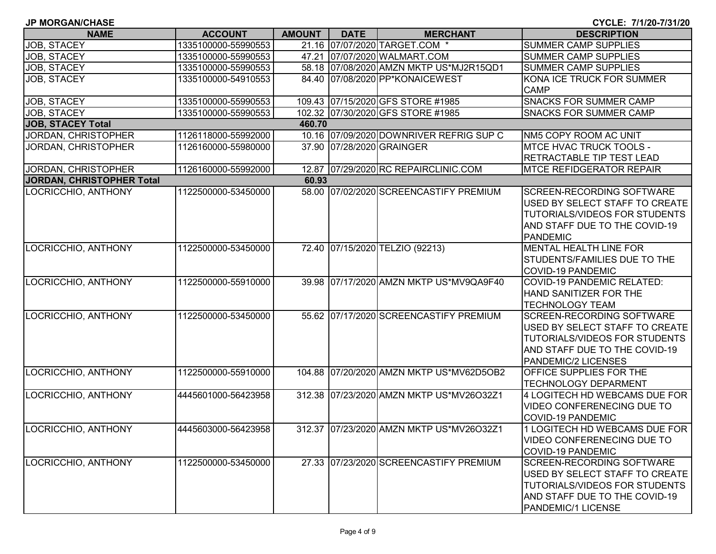| <b>NAME</b>                      | <b>ACCOUNT</b>      | AMOUNT | <b>DATE</b> | <b>MERCHANT</b>                          | <b>DESCRIPTION</b>                                                                                                                                                       |
|----------------------------------|---------------------|--------|-------------|------------------------------------------|--------------------------------------------------------------------------------------------------------------------------------------------------------------------------|
| JOB, STACEY                      | 1335100000-55990553 |        |             | 21.16 07/07/2020 TARGET.COM *            | <b>SUMMER CAMP SUPPLIES</b>                                                                                                                                              |
| JOB, STACEY                      | 1335100000-55990553 |        |             | 47.21 07/07/2020 WALMART.COM             | <b>SUMMER CAMP SUPPLIES</b>                                                                                                                                              |
| <b>JOB, STACEY</b>               | 1335100000-55990553 |        |             | 58.18 07/08/2020 AMZN MKTP US*MJ2R15QD1  | <b>SUMMER CAMP SUPPLIES</b>                                                                                                                                              |
| JOB, STACEY                      | 1335100000-54910553 |        |             | 84.40 07/08/2020 PP*KONAICEWEST          | KONA ICE TRUCK FOR SUMMER                                                                                                                                                |
|                                  |                     |        |             |                                          | <b>CAMP</b>                                                                                                                                                              |
| JOB, STACEY                      | 1335100000-55990553 |        |             | 109.43 07/15/2020 GFS STORE #1985        | <b>SNACKS FOR SUMMER CAMP</b>                                                                                                                                            |
| <b>JOB, STACEY</b>               | 1335100000-55990553 |        |             | 102.32 07/30/2020 GFS STORE #1985        | <b>SNACKS FOR SUMMER CAMP</b>                                                                                                                                            |
| <b>JOB, STACEY Total</b>         |                     | 460.70 |             |                                          |                                                                                                                                                                          |
| JORDAN, CHRISTOPHER              | 1126118000-55992000 |        |             | 10.16 07/09/2020 DOWNRIVER REFRIG SUP C  | NM5 COPY ROOM AC UNIT                                                                                                                                                    |
| <b>JORDAN, CHRISTOPHER</b>       | 1126160000-55980000 |        |             | 37.90 07/28/2020 GRAINGER                | <b>MTCE HVAC TRUCK TOOLS -</b>                                                                                                                                           |
|                                  |                     |        |             |                                          | RETRACTABLE TIP TEST LEAD                                                                                                                                                |
| JORDAN, CHRISTOPHER              | 1126160000-55992000 |        |             | 12.87 07/29/2020 RC REPAIRCLINIC.COM     | <b>MTCE REFIDGERATOR REPAIR</b>                                                                                                                                          |
| <b>JORDAN, CHRISTOPHER Total</b> |                     | 60.93  |             |                                          |                                                                                                                                                                          |
| LOCRICCHIO, ANTHONY              | 1122500000-53450000 |        |             | 58.00 07/02/2020 SCREENCASTIFY PREMIUM   | <b>SCREEN-RECORDING SOFTWARE</b><br>USED BY SELECT STAFF TO CREATE<br><b>TUTORIALS/VIDEOS FOR STUDENTS</b><br>AND STAFF DUE TO THE COVID-19<br>PANDEMIC                  |
| LOCRICCHIO, ANTHONY              | 1122500000-53450000 |        |             | 72.40 07/15/2020 TELZIO (92213)          | <b>MENTAL HEALTH LINE FOR</b><br>STUDENTS/FAMILIES DUE TO THE<br><b>COVID-19 PANDEMIC</b>                                                                                |
| LOCRICCHIO, ANTHONY              | 1122500000-55910000 |        |             | 39.98 07/17/2020 AMZN MKTP US*MV9QA9F40  | <b>COVID-19 PANDEMIC RELATED:</b><br><b>HAND SANITIZER FOR THE</b><br><b>TECHNOLOGY TEAM</b>                                                                             |
| LOCRICCHIO, ANTHONY              | 1122500000-53450000 |        |             | 55.62 07/17/2020 SCREENCASTIFY PREMIUM   | SCREEN-RECORDING SOFTWARE<br>USED BY SELECT STAFF TO CREATE<br><b>TUTORIALS/VIDEOS FOR STUDENTS</b><br>AND STAFF DUE TO THE COVID-19<br><b>PANDEMIC/2 LICENSES</b>       |
| LOCRICCHIO, ANTHONY              | 1122500000-55910000 |        |             | 104.88 07/20/2020 AMZN MKTP US*MV62D5OB2 | <b>OFFICE SUPPLIES FOR THE</b><br><b>TECHNOLOGY DEPARMENT</b>                                                                                                            |
| LOCRICCHIO, ANTHONY              | 4445601000-56423958 |        |             | 312.38 07/23/2020 AMZN MKTP US*MV26O32Z1 | 4 LOGITECH HD WEBCAMS DUE FOR<br><b>VIDEO CONFERENECING DUE TO</b><br><b>COVID-19 PANDEMIC</b>                                                                           |
| LOCRICCHIO, ANTHONY              | 4445603000-56423958 |        |             | 312.37 07/23/2020 AMZN MKTP US*MV26O32Z1 | 1 LOGITECH HD WEBCAMS DUE FOR<br><b>VIDEO CONFERENECING DUE TO</b><br><b>COVID-19 PANDEMIC</b>                                                                           |
| LOCRICCHIO, ANTHONY              | 1122500000-53450000 |        |             | 27.33 07/23/2020 SCREENCASTIFY PREMIUM   | <b>SCREEN-RECORDING SOFTWARE</b><br>USED BY SELECT STAFF TO CREATE<br><b>TUTORIALS/VIDEOS FOR STUDENTS</b><br>AND STAFF DUE TO THE COVID-19<br><b>PANDEMIC/1 LICENSE</b> |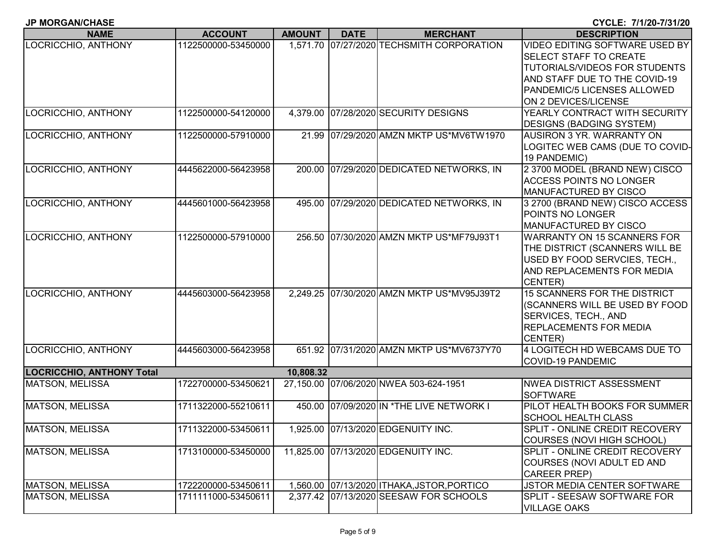|  |  |  |  |  |  |  |  |  |  | <b>JP MORGAN/CHASE</b> |  |
|--|--|--|--|--|--|--|--|--|--|------------------------|--|
|--|--|--|--|--|--|--|--|--|--|------------------------|--|

**CYCLE: 7/1/20-7/31/20**

| <b>NAME</b>                      | <b>ACCOUNT</b>      | <b>AMOUNT</b> | <b>DATE</b> | <b>MERCHANT</b>                            | <b>DESCRIPTION</b>                    |
|----------------------------------|---------------------|---------------|-------------|--------------------------------------------|---------------------------------------|
| LOCRICCHIO, ANTHONY              | 1122500000-53450000 |               |             | 1,571.70 07/27/2020 TECHSMITH CORPORATION  | <b>VIDEO EDITING SOFTWARE USED BY</b> |
|                                  |                     |               |             |                                            | SELECT STAFF TO CREATE                |
|                                  |                     |               |             |                                            | TUTORIALS/VIDEOS FOR STUDENTS         |
|                                  |                     |               |             |                                            | AND STAFF DUE TO THE COVID-19         |
|                                  |                     |               |             |                                            | PANDEMIC/5 LICENSES ALLOWED           |
|                                  |                     |               |             |                                            | ON 2 DEVICES/LICENSE                  |
| LOCRICCHIO, ANTHONY              | 1122500000-54120000 |               |             | 4,379.00 07/28/2020 SECURITY DESIGNS       | YEARLY CONTRACT WITH SECURITY         |
|                                  |                     |               |             |                                            | <b>DESIGNS (BADGING SYSTEM)</b>       |
| LOCRICCHIO, ANTHONY              | 1122500000-57910000 |               |             | 21.99 07/29/2020 AMZN MKTP US*MV6TW1970    | AUSIRON 3 YR. WARRANTY ON             |
|                                  |                     |               |             |                                            | LOGITEC WEB CAMS (DUE TO COVID-       |
|                                  |                     |               |             |                                            | 19 PANDEMIC)                          |
| LOCRICCHIO, ANTHONY              | 4445622000-56423958 |               |             | 200.00 07/29/2020 DEDICATED NETWORKS, IN   | 2 3700 MODEL (BRAND NEW) CISCO        |
|                                  |                     |               |             |                                            | <b>ACCESS POINTS NO LONGER</b>        |
|                                  |                     |               |             |                                            | <b>MANUFACTURED BY CISCO</b>          |
| LOCRICCHIO, ANTHONY              | 4445601000-56423958 |               |             | 495.00 07/29/2020 DEDICATED NETWORKS, IN   | 3 2700 (BRAND NEW) CISCO ACCESS       |
|                                  |                     |               |             |                                            | POINTS NO LONGER                      |
|                                  |                     |               |             |                                            | <b>MANUFACTURED BY CISCO</b>          |
| LOCRICCHIO, ANTHONY              | 1122500000-57910000 |               |             | 256.50 07/30/2020 AMZN MKTP US*MF79J93T1   | <b>WARRANTY ON 15 SCANNERS FOR</b>    |
|                                  |                     |               |             |                                            | THE DISTRICT (SCANNERS WILL BE        |
|                                  |                     |               |             |                                            | USED BY FOOD SERVCIES, TECH.,         |
|                                  |                     |               |             |                                            | AND REPLACEMENTS FOR MEDIA            |
|                                  |                     |               |             |                                            | CENTER)                               |
| LOCRICCHIO, ANTHONY              | 4445603000-56423958 |               |             | 2,249.25 07/30/2020 AMZN MKTP US*MV95J39T2 | <b>15 SCANNERS FOR THE DISTRICT</b>   |
|                                  |                     |               |             |                                            | (SCANNERS WILL BE USED BY FOOD        |
|                                  |                     |               |             |                                            | SERVICES, TECH., AND                  |
|                                  |                     |               |             |                                            | REPLACEMENTS FOR MEDIA                |
|                                  |                     |               |             |                                            | CENTER)                               |
| LOCRICCHIO, ANTHONY              | 4445603000-56423958 |               |             | 651.92 07/31/2020 AMZN MKTP US*MV6737Y70   | 4 LOGITECH HD WEBCAMS DUE TO          |
|                                  |                     |               |             |                                            | <b>COVID-19 PANDEMIC</b>              |
| <b>LOCRICCHIO, ANTHONY Total</b> |                     | 10,808.32     |             |                                            |                                       |
| <b>MATSON, MELISSA</b>           | 1722700000-53450621 |               |             | 27,150.00 07/06/2020 NWEA 503-624-1951     | <b>NWEA DISTRICT ASSESSMENT</b>       |
|                                  |                     |               |             |                                            | <b>SOFTWARE</b>                       |
| <b>MATSON, MELISSA</b>           | 1711322000-55210611 |               |             | 450.00 07/09/2020 IN *THE LIVE NETWORK I   | PILOT HEALTH BOOKS FOR SUMMER         |
|                                  |                     |               |             |                                            | <b>SCHOOL HEALTH CLASS</b>            |
| MATSON, MELISSA                  | 1711322000-53450611 |               |             | 1,925.00 07/13/2020 EDGENUITY INC.         | SPLIT - ONLINE CREDIT RECOVERY        |
|                                  |                     |               |             |                                            | COURSES (NOVI HIGH SCHOOL)            |
| <b>MATSON, MELISSA</b>           | 1713100000-53450000 |               |             | 11,825.00 07/13/2020 EDGENUITY INC.        | SPLIT - ONLINE CREDIT RECOVERY        |
|                                  |                     |               |             |                                            | COURSES (NOVI ADULT ED AND            |
|                                  |                     |               |             |                                            | <b>CAREER PREP)</b>                   |
| MATSON, MELISSA                  | 1722200000-53450611 |               |             | 1,560.00 07/13/2020 ITHAKA, JSTOR, PORTICO | JSTOR MEDIA CENTER SOFTWARE           |
| <b>MATSON, MELISSA</b>           | 1711111000-53450611 |               |             | 2,377.42 07/13/2020 SEESAW FOR SCHOOLS     | SPLIT - SEESAW SOFTWARE FOR           |
|                                  |                     |               |             |                                            | <b>VILLAGE OAKS</b>                   |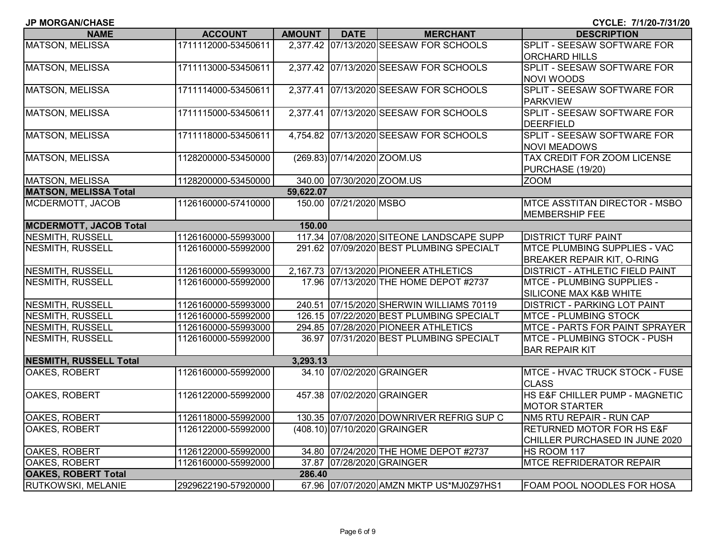| <b>NAME</b>                   | <b>ACCOUNT</b>      | AMOUNT    | <b>DATE</b>                 | <b>MERCHANT</b>                          | <b>DESCRIPTION</b>                     |
|-------------------------------|---------------------|-----------|-----------------------------|------------------------------------------|----------------------------------------|
| <b>MATSON, MELISSA</b>        | 1711112000-53450611 |           |                             | 2,377.42 07/13/2020 SEESAW FOR SCHOOLS   | SPLIT - SEESAW SOFTWARE FOR            |
|                               |                     |           |                             |                                          | <b>ORCHARD HILLS</b>                   |
| <b>MATSON, MELISSA</b>        | 1711113000-53450611 |           |                             | 2,377.42 07/13/2020 SEESAW FOR SCHOOLS   | SPLIT - SEESAW SOFTWARE FOR            |
|                               |                     |           |                             |                                          | <b>NOVI WOODS</b>                      |
| <b>MATSON, MELISSA</b>        | 1711114000-53450611 |           |                             | 2,377.41 07/13/2020 SEESAW FOR SCHOOLS   | SPLIT - SEESAW SOFTWARE FOR            |
|                               |                     |           |                             |                                          | <b>PARKVIEW</b>                        |
| <b>MATSON, MELISSA</b>        | 1711115000-53450611 |           |                             | 2,377.41 07/13/2020 SEESAW FOR SCHOOLS   | SPLIT - SEESAW SOFTWARE FOR            |
|                               |                     |           |                             |                                          | <b>DEERFIELD</b>                       |
| <b>MATSON, MELISSA</b>        | 1711118000-53450611 |           |                             | 4,754.82 07/13/2020 SEESAW FOR SCHOOLS   | SPLIT - SEESAW SOFTWARE FOR            |
|                               |                     |           |                             |                                          | <b>NOVI MEADOWS</b>                    |
| <b>MATSON, MELISSA</b>        | 1128200000-53450000 |           | (269.83) 07/14/2020 ZOOM.US |                                          | TAX CREDIT FOR ZOOM LICENSE            |
|                               |                     |           |                             |                                          | PURCHASE (19/20)                       |
| <b>MATSON, MELISSA</b>        | 1128200000-53450000 |           | 340.00 07/30/2020 ZOOM.US   |                                          | <b>ZOOM</b>                            |
| <b>MATSON, MELISSA Total</b>  |                     | 59,622.07 |                             |                                          |                                        |
| MCDERMOTT, JACOB              | 1126160000-57410000 |           | 150.00 07/21/2020 MSBO      |                                          | <b>MTCE ASSTITAN DIRECTOR - MSBO</b>   |
|                               |                     |           |                             |                                          | <b>MEMBERSHIP FEE</b>                  |
| <b>MCDERMOTT, JACOB Total</b> |                     | 150.00    |                             |                                          |                                        |
| <b>NESMITH, RUSSELL</b>       | 1126160000-55993000 |           |                             | 117.34 07/08/2020 SITEONE LANDSCAPE SUPP | <b>DISTRICT TURF PAINT</b>             |
| NESMITH, RUSSELL              | 1126160000-55992000 |           |                             | 291.62 07/09/2020 BEST PLUMBING SPECIALT | <b>MTCE PLUMBING SUPPLIES - VAC</b>    |
|                               |                     |           |                             |                                          | <b>BREAKER REPAIR KIT, O-RING</b>      |
| <b>NESMITH, RUSSELL</b>       | 1126160000-55993000 |           |                             | 2,167.73 07/13/2020 PIONEER ATHLETICS    | <b>DISTRICT - ATHLETIC FIELD PAINT</b> |
| <b>NESMITH, RUSSELL</b>       | 1126160000-55992000 |           |                             | 17.96 07/13/2020 THE HOME DEPOT #2737    | MTCE - PLUMBING SUPPLIES -             |
|                               |                     |           |                             |                                          | SILICONE MAX K&B WHITE                 |
| <b>NESMITH, RUSSELL</b>       | 1126160000-55993000 |           |                             | 240.51 07/15/2020 SHERWIN WILLIAMS 70119 | <b>DISTRICT - PARKING LOT PAINT</b>    |
| <b>NESMITH, RUSSELL</b>       | 1126160000-55992000 |           |                             | 126.15 07/22/2020 BEST PLUMBING SPECIALT | <b>MTCE - PLUMBING STOCK</b>           |
| <b>NESMITH, RUSSELL</b>       | 1126160000-55993000 |           |                             | 294.85 07/28/2020 PIONEER ATHLETICS      | MTCE - PARTS FOR PAINT SPRAYER         |
| <b>NESMITH, RUSSELL</b>       | 1126160000-55992000 |           |                             | 36.97 07/31/2020 BEST PLUMBING SPECIALT  | MTCE - PLUMBING STOCK - PUSH           |
|                               |                     |           |                             |                                          | <b>BAR REPAIR KIT</b>                  |
| <b>NESMITH, RUSSELL Total</b> |                     | 3,293.13  |                             |                                          |                                        |
| OAKES, ROBERT                 | 1126160000-55992000 |           |                             | 34.10 07/02/2020 GRAINGER                | <b>MTCE - HVAC TRUCK STOCK - FUSE</b>  |
|                               |                     |           |                             |                                          | <b>CLASS</b>                           |
| <b>OAKES, ROBERT</b>          | 1126122000-55992000 |           |                             | 457.38 07/02/2020 GRAINGER               | HS E&F CHILLER PUMP - MAGNETIC         |
|                               |                     |           |                             |                                          | <b>MOTOR STARTER</b>                   |
| <b>OAKES, ROBERT</b>          | 1126118000-55992000 |           |                             | 130.35 07/07/2020 DOWNRIVER REFRIG SUP C | NM5 RTU REPAIR - RUN CAP               |
| OAKES, ROBERT                 | 1126122000-55992000 |           |                             | (408.10) 07/10/2020 GRAINGER             | RETURNED MOTOR FOR HS E&F              |
|                               |                     |           |                             |                                          | CHILLER PURCHASED IN JUNE 2020         |
| <b>OAKES, ROBERT</b>          | 1126122000-55992000 |           |                             | 34.80 07/24/2020 THE HOME DEPOT #2737    | HS ROOM 117                            |
| OAKES, ROBERT                 | 1126160000-55992000 |           |                             | 37.87 07/28/2020 GRAINGER                | <b>MTCE REFRIDERATOR REPAIR</b>        |
| <b>OAKES, ROBERT Total</b>    |                     | 286.40    |                             |                                          |                                        |
| <b>RUTKOWSKI, MELANIE</b>     | 2929622190-57920000 |           |                             | 67.96 07/07/2020 AMZN MKTP US*MJ0Z97HS1  | FOAM POOL NOODLES FOR HOSA             |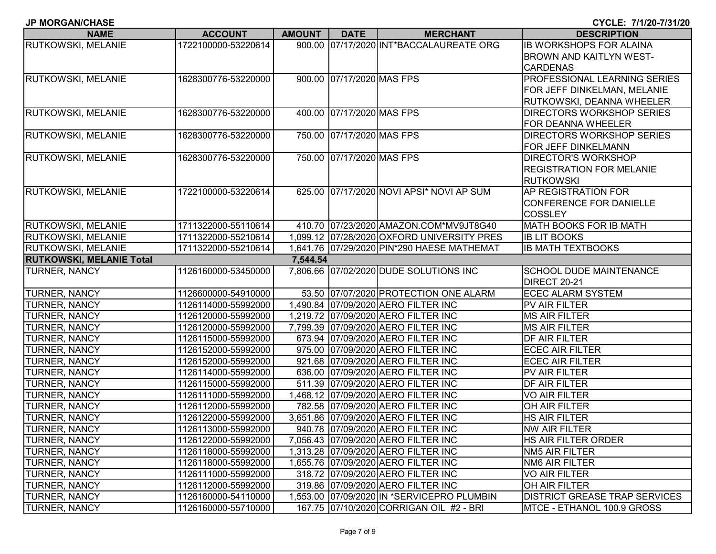|  |  |  |  |  |  | JP MORGAN/CHASE |
|--|--|--|--|--|--|-----------------|
|--|--|--|--|--|--|-----------------|

**CYCLE: 7/1/20-7/31/20**

| <b>NAME</b>                     | <b>ACCOUNT</b>      | <b>AMOUNT</b> | <b>DATE</b>               | <b>MERCHANT</b>                            | <b>DESCRIPTION</b>                   |
|---------------------------------|---------------------|---------------|---------------------------|--------------------------------------------|--------------------------------------|
| <b>RUTKOWSKI, MELANIE</b>       | 1722100000-53220614 |               |                           | 900.00 07/17/2020 INT*BACCALAUREATE ORG    | <b>IB WORKSHOPS FOR ALAINA</b>       |
|                                 |                     |               |                           |                                            | <b>BROWN AND KAITLYN WEST-</b>       |
|                                 |                     |               |                           |                                            | <b>CARDENAS</b>                      |
| <b>RUTKOWSKI, MELANIE</b>       | 1628300776-53220000 |               | 900.00 07/17/2020 MAS FPS |                                            | PROFESSIONAL LEARNING SERIES         |
|                                 |                     |               |                           |                                            | FOR JEFF DINKELMAN, MELANIE          |
|                                 |                     |               |                           |                                            | RUTKOWSKI, DEANNA WHEELER            |
| RUTKOWSKI, MELANIE              | 1628300776-53220000 |               | 400.00 07/17/2020 MAS FPS |                                            | <b>DIRECTORS WORKSHOP SERIES</b>     |
|                                 |                     |               |                           |                                            | FOR DEANNA WHEELER                   |
| <b>RUTKOWSKI, MELANIE</b>       | 1628300776-53220000 |               | 750.00 07/17/2020 MAS FPS |                                            | <b>DIRECTORS WORKSHOP SERIES</b>     |
|                                 |                     |               |                           |                                            | FOR JEFF DINKELMANN                  |
| <b>RUTKOWSKI, MELANIE</b>       | 1628300776-53220000 |               | 750.00 07/17/2020 MAS FPS |                                            | <b>DIRECTOR'S WORKSHOP</b>           |
|                                 |                     |               |                           |                                            | <b>REGISTRATION FOR MELANIE</b>      |
|                                 |                     |               |                           |                                            | <b>RUTKOWSKI</b>                     |
| <b>RUTKOWSKI, MELANIE</b>       | 1722100000-53220614 |               |                           | 625.00 07/17/2020 NOVI APSI* NOVI AP SUM   | AP REGISTRATION FOR                  |
|                                 |                     |               |                           |                                            | <b>CONFERENCE FOR DANIELLE</b>       |
|                                 |                     |               |                           |                                            | <b>COSSLEY</b>                       |
| <b>RUTKOWSKI, MELANIE</b>       | 1711322000-55110614 |               |                           | 410.70 07/23/2020 AMAZON.COM*MV9JT8G40     | <b>MATH BOOKS FOR IB MATH</b>        |
| RUTKOWSKI, MELANIE              | 1711322000-55210614 |               |                           | 1,099.12 07/28/2020 OXFORD UNIVERSITY PRES | <b>IB LIT BOOKS</b>                  |
| <b>RUTKOWSKI, MELANIE</b>       | 1711322000-55210614 |               |                           | 1,641.76 07/29/2020 PIN*290 HAESE MATHEMAT | <b>IB MATH TEXTBOOKS</b>             |
| <b>RUTKOWSKI, MELANIE Total</b> |                     | 7,544.54      |                           |                                            |                                      |
| <b>TURNER, NANCY</b>            | 1126160000-53450000 |               |                           | 7,806.66 07/02/2020 DUDE SOLUTIONS INC     | <b>SCHOOL DUDE MAINTENANCE</b>       |
|                                 |                     |               |                           |                                            | DIRECT 20-21                         |
| <b>TURNER, NANCY</b>            | 1126600000-54910000 |               |                           | 53.50 07/07/2020 PROTECTION ONE ALARM      | <b>ECEC ALARM SYSTEM</b>             |
| <b>TURNER, NANCY</b>            | 1126114000-55992000 |               |                           | 1,490.84 07/09/2020 AERO FILTER INC        | PV AIR FILTER                        |
| <b>TURNER, NANCY</b>            | 1126120000-55992000 |               |                           | 1,219.72 07/09/2020 AERO FILTER INC        | <b>MS AIR FILTER</b>                 |
| <b>TURNER, NANCY</b>            | 1126120000-55992000 |               |                           | 7,799.39 07/09/2020 AERO FILTER INC        | <b>MS AIR FILTER</b>                 |
| <b>TURNER, NANCY</b>            | 1126115000-55992000 |               |                           | 673.94 07/09/2020 AERO FILTER INC          | <b>DF AIR FILTER</b>                 |
| <b>TURNER, NANCY</b>            | 1126152000-55992000 |               |                           | 975.00 07/09/2020 AERO FILTER INC          | <b>ECEC AIR FILTER</b>               |
| TURNER, NANCY                   | 1126152000-55992000 |               |                           | 921.68 07/09/2020 AERO FILTER INC          | <b>ECEC AIR FILTER</b>               |
| <b>TURNER, NANCY</b>            | 1126114000-55992000 |               |                           | 636.00 07/09/2020 AERO FILTER INC          | PV AIR FILTER                        |
| <b>TURNER, NANCY</b>            | 1126115000-55992000 |               |                           | 511.39 07/09/2020 AERO FILTER INC          | <b>DF AIR FILTER</b>                 |
| <b>TURNER, NANCY</b>            | 1126111000-55992000 |               |                           | 1,468.12 07/09/2020 AERO FILTER INC        | <b>VO AIR FILTER</b>                 |
| <b>TURNER, NANCY</b>            | 1126112000-55992000 |               |                           | 782.58 07/09/2020 AERO FILTER INC          | OH AIR FILTER                        |
| <b>TURNER, NANCY</b>            | 1126122000-55992000 |               |                           | 3,651.86 07/09/2020 AERO FILTER INC        | <b>HS AIR FILTER</b>                 |
| <b>TURNER, NANCY</b>            | 1126113000-55992000 |               |                           | 940.78 07/09/2020 AERO FILTER INC          | <b>NW AIR FILTER</b>                 |
| <b>TURNER, NANCY</b>            | 1126122000-55992000 |               |                           | 7,056.43 07/09/2020 AERO FILTER INC        | <b>HS AIR FILTER ORDER</b>           |
| <b>TURNER, NANCY</b>            | 1126118000-55992000 |               |                           | 1,313.28 07/09/2020 AERO FILTER INC        | NM5 AIR FILTER                       |
| <b>TURNER, NANCY</b>            | 1126118000-55992000 |               |                           | 1,655.76 07/09/2020 AERO FILTER INC        | NM6 AIR FILTER                       |
| <b>TURNER, NANCY</b>            | 1126111000-55992000 |               |                           | 318.72 07/09/2020 AERO FILTER INC          | <b>VO AIR FILTER</b>                 |
| <b>TURNER, NANCY</b>            | 1126112000-55992000 |               |                           | 319.86 07/09/2020 AERO FILTER INC          | OH AIR FILTER                        |
| <b>TURNER, NANCY</b>            | 1126160000-54110000 |               |                           | 1,553.00 07/09/2020 IN *SERVICEPRO PLUMBIN | <b>DISTRICT GREASE TRAP SERVICES</b> |
| <b>TURNER, NANCY</b>            | 1126160000-55710000 |               |                           | 167.75 07/10/2020 CORRIGAN OIL #2 - BRI    | MTCE - ETHANOL 100.9 GROSS           |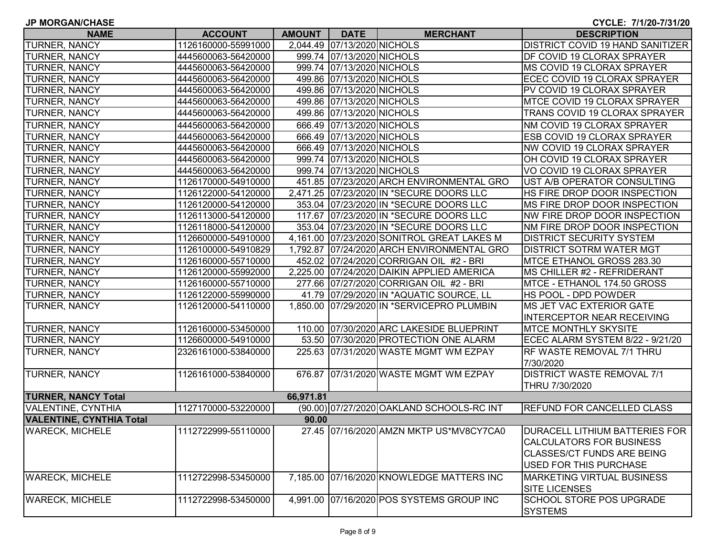**JP MORGAN/CHASE CYCLE: 7/1/20-7/31/20 NAME ACCOUNT AMOUNT DATE MERCHANT DESCRIPTION** TURNER, NANCY 1126160000-55991000 2,044.49 07/13/2020 NICHOLS DISTRICT COVID 19 HAND SANITIZER TURNER, NANCY 4445600063-56420000 999.74 07/13/2020 NICHOLS DF COVID 19 CLORAX SPRAYER TURNER, NANCY 4445600063-56420000 999.74 07/13/2020 NICHOLS MS COVID 19 CLORAX SPRAYER TURNER, NANCY 4445600063-56420000 499.86 07/13/2020 NICHOLS ECEC COVID 19 CLORAX SPRAYER TURNER, NANCY 4445600063-56420000 499.86 07/13/2020 NICHOLS PV COVID 19 CLORAX SPRAYER TURNER, NANCY |4445600063-56420000 | 499.86 |07/13/2020|NICHOLS |MTCE COVID 19 CLORAX SPRAYER TURNER, NANCY 4445600063-56420000 499.86 07/13/2020 NICHOLS TRANS COVID 19 CLORAX SPRAYER TURNER, NANCY 4445600063-56420000 666.49 07/13/2020 NICHOLS NM COVID 19 CLORAX SPRAYER TURNER, NANCY 4445600063-56420000 666.49 07/13/2020 NICHOLS ESB COVID 19 CLORAX SPRAYER TURNER, NANCY 4445600063-56420000 666.49 07/13/2020 NICHOLS NW COVID 19 CLORAX SPRAYER TURNER, NANCY 4445600063-56420000 999.74 07/13/2020 NICHOLS OH COVID 19 CLORAX SPRAYER TURNER, NANCY 4445600063-56420000 999.74 07/13/2020 NICHOLS VO COVID 19 CLORAX SPRAYER TURNER, NANCY 1126170000-54910000 451.85 07/23/2020 ARCH ENVIRONMENTAL GRO UST A/B OPERATOR CONSULTING TURNER, NANCY 1126122000-54120000 2,471.25 07/23/2020 IN \*SECURE DOORS LLC HS FIRE DROP DOOR INSPECTION TURNER, NANCY 1126120000-54120000 353.04 07/23/2020 IN \*SECURE DOORS LLC MS FIRE DROP DOOR INSPECTION TURNER, NANCY 1126113000-54120000 117.67 07/23/2020 IN \*SECURE DOORS LLC NW FIRE DROP DOOR INSPECTION TURNER, NANCY 1126118000-54120000 353.04 07/23/2020 IN \*SECURE DOORS LLC NM FIRE DROP DOOR INSPECTION TURNER, NANCY 1126600000-54910000 4,161.00 07/23/2020 SONITROL GREAT LAKES M DISTRICT SECURITY SYSTEM TURNER, NANCY 1126100000-54910829 1,792.87 07/24/2020 ARCH ENVIRONMENTAL GRO DISTRICT SOTRM WATER MGT TURNER, NANCY 1126160000-55710000 452.02 07/24/2020 CORRIGAN OIL #2 - BRI MTCE ETHANOL GROSS 283.30 TURNER, NANCY 1126120000-55992000 2,225.00 07/24/2020 DAIKIN APPLIED AMERICA MS CHILLER #2 - REFRIDERANT TURNER, NANCY 1126160000-55710000 277.66 07/27/2020 CORRIGAN OIL #2 - BRI MTCE - ETHANOL 174.50 GROSS TURNER, NANCY 1126122000-55990000 41.79 07/29/2020 IN \*AQUATIC SOURCE, LL HS POOL - DPD POWDER TURNER, NANCY 1126120000-54110000 1,850.00 07/29/2020 IN \*SERVICEPRO PLUMBIN MS JET VAC EXTERIOR GATE INTERCEPTOR NEAR RECEIVINGTURNER, NANCY 1126160000-53450000 110.00 07/30/2020 ARC LAKESIDE BLUEPRINT MTCE MONTHLY SKYSITE TURNER, NANCY 1126600000-54910000 53.50 07/30/2020 PROTECTION ONE ALARM ECEC ALARM SYSTEM 8/22 - 9/21/20 TURNER, NANCY 2326161000-53840000 225.63 07/31/2020 WASTE MGMT WM EZPAY RF WASTE REMOVAL 7/1 THRU 7/30/2020TURNER, NANCY 1126161000-53840000 676.87 07/31/2020 WASTE MGMT WM EZPAY DISTRICT WASTE REMOVAL 7/1 THRU 7/30/2020**TURNER, NANCY Total 66,971.81** VALENTINE, CYNTHIA 1127170000-53220000 (90.00) 07/27/2020 OAKLAND SCHOOLS-RC INT REFUND FOR CANCELLED CLASS **VALENTINE, CYNTHIA Total 90.00**

WARECK, MICHELE 1112722999-55110000 27.45 07/16/2020 AMZN MKTP US\*MV8CY7CA0 DURACELL LITHIUM BATTERIES FOR CALCULATORS FOR BUSINESS CLASSES/CT FUNDS ARE BEING USED FOR THIS PURCHASEWARECK, MICHELE 1112722998-53450000 7.185.00 07/16/2020 KNOWLEDGE MATTERS INC MARKETING VIRTUAL BUSINESS SITE LICENSESWARECK, MICHELE 1112722998-53450000 4,991.00 07/16/2020 POS SYSTEMS GROUP INC SCHOOL STORE POS UPGRADE **SYSTEMS**